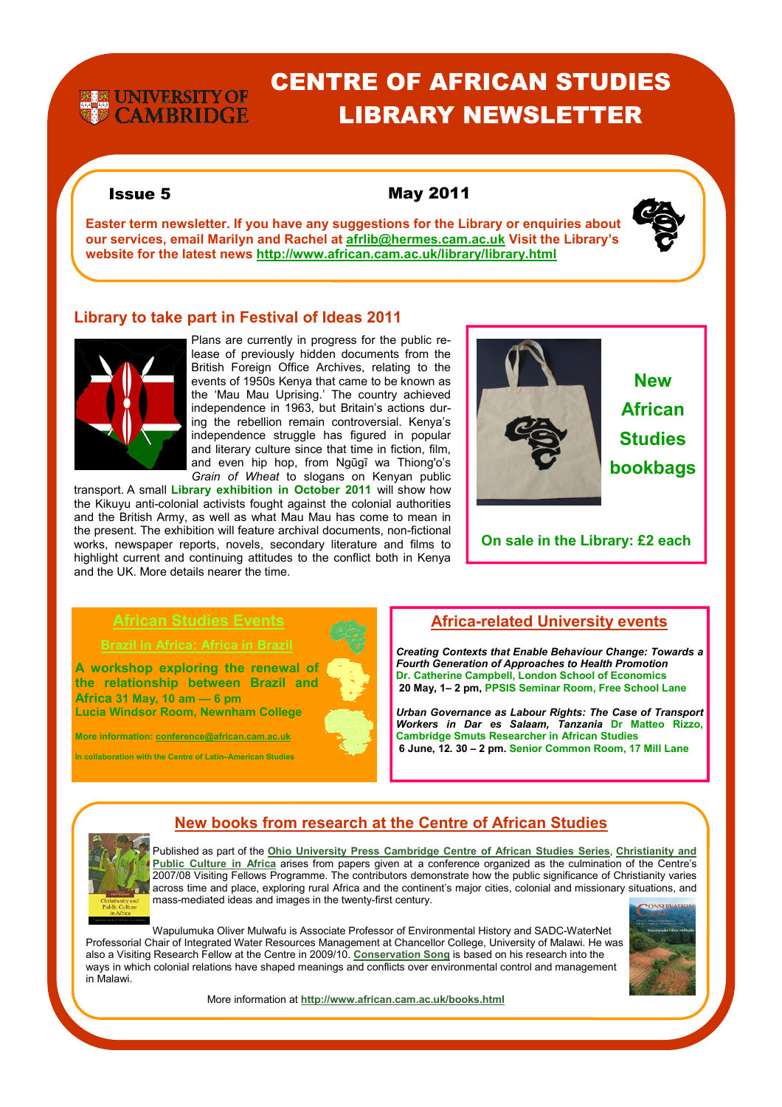# **EX UNIVERSITY OF**<br>**EX CAMBRIDGE**

## CENTRE OF AFRICAN STUDIES LIBRARY NEWSLETTER

### Issue 5 May 2011

**Easter term newsletter. If you have any suggestions for the Library or enquiries about our services, email Marilyn and Rachel at afrlib@hermes.cam.ac.uk Visit the Library's website for the latest news http://www.african.cam.ac.uk/library/library.html**



### **Library to take part in Festival of Ideas 2011**



Plans are currently in progress for the public release of previously hidden documents from the British Foreign Office Archives, relating to the events of 1950s Kenya that came to be known as the 'Mau Mau Uprising.' The country achieved independence in 1963, but Britain's actions during the rebellion remain controversial. Kenya's independence struggle has figured in popular and literary culture since that time in fiction, film, and even hip hop, from Ngũgĩ wa Thiong'o's *Grain of Wheat* to slogans on Kenyan public

transport. A small **Library exhibition in October 2011** will show how the Kikuyu anti-colonial activists fought against the colonial authorities and the British Army, as well as what Mau Mau has come to mean in the present. The exhibition will feature archival documents, non-fictional works, newspaper reports, novels, secondary literature and films to highlight current and continuing attitudes to the conflict both in Kenya and the UK. More details nearer the time.



**New African Studies bookbags** 

**On sale in the Library: £2 each** 

**A workshop exploring the renewal of the relationship between Brazil and Africa 31 May, 10 am — 6 pm Lucia Windsor Room, Newnham College** 

**More information: conference@african.cam.ac.uk** 

**In collaboration with the Centre of Latin–American Studies**



### **Africa-related University events**

*Creating Contexts that Enable Behaviour Change: Towards a Fourth Generation of Approaches to Health Promotion* **Dr. Catherine Campbell, London School of Economics 20 May, 1– 2 pm, PPSIS Seminar Room, Free School Lane** 

*Urban Governance as Labour Rights: The Case of Transport Workers in Dar es Salaam, Tanzania* **Dr Matteo Rizzo, Cambridge Smuts Researcher in African Studies 6 June, 12. 30 – 2 pm. Senior Common Room, 17 Mill Lane**



## **New books from research at the Centre of African Studies**

Published as part of the **Ohio University Press Cambridge Centre of African Studies Series**, **Christianity and Public Culture in Africa** arises from papers given at a conference organized as the culmination of the Centre's 2007/08 Visiting Fellows Programme. The contributors demonstrate how the public significance of Christianity varies across time and place, exploring rural Africa and the continent's major cities, colonial and missionary situations, and mass-mediated ideas and images in the twenty-first century.

Wapulumuka Oliver Mulwafu is Associate Professor of Environmental History and SADC-WaterNet Professorial Chair of Integrated Water Resources Management at Chancellor College, University of Malawi. He was also a Visiting Research Fellow at the Centre in 2009/10. **Conservation Song** is based on his research into the ways in which colonial relations have shaped meanings and conflicts over environmental control and management in Malawi.



More information at **http://www.african.cam.ac.uk/books.html**